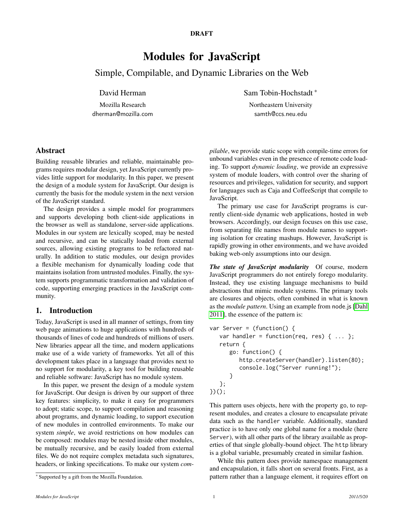#### DRAFT

# Modules for JavaScript

Simple, Compilable, and Dynamic Libraries on the Web

# David Herman

Mozilla Research dherman@mozilla.com Sam Tobin-Hochstadt <sup>∗</sup>

Northeastern University samth@ccs.neu.edu

# Abstract

Building reusable libraries and reliable, maintainable programs requires modular design, yet JavaScript currently provides little support for modularity. In this paper, we present the design of a module system for JavaScript. Our design is currently the basis for the module system in the next version of the JavaScript standard.

The design provides a simple model for programmers and supports developing both client-side applications in the browser as well as standalone, server-side applications. Modules in our system are lexically scoped, may be nested and recursive, and can be statically loaded from external sources, allowing existing programs to be refactored naturally. In addition to static modules, our design provides a flexible mechanism for dynamically loading code that maintains isolation from untrusted modules. Finally, the system supports programmatic transformation and validation of code, supporting emerging practices in the JavaScript community.

# 1. Introduction

Today, JavaScript is used in all manner of settings, from tiny web page animations to huge applications with hundreds of thousands of lines of code and hundreds of millions of users. New libraries appear all the time, and modern applications make use of a wide variety of frameworks. Yet all of this development takes place in a language that provides next to no support for modularity, a key tool for building reusable and reliable software: JavaScript has no module system.

In this paper, we present the design of a module system for JavaScript. Our design is driven by our support of three key features: simplicity, to make it easy for programmers to adopt; static scope, to support compilation and reasoning about programs, and dynamic loading, to support execution of new modules in controlled environments. To make our system *simple*, we avoid restrictions on how modules can be composed: modules may be nested inside other modules, be mutually recursive, and be easily loaded from external files. We do not require complex metadata such signatures, headers, or linking specifications. To make our system *com-* *pilable*, we provide static scope with compile-time errors for unbound variables even in the presence of remote code loading. To support *dynamic loading*, we provide an expressive system of module loaders, with control over the sharing of resources and privileges, validation for security, and support for languages such as Caja and CoffeeScript that compile to JavaScript.

The primary use case for JavaScript programs is currently client-side dynamic web applications, hosted in web browsers. Accordingly, our design focuses on this use case, from separating file names from module names to supporting isolation for creating mashups. However, JavaScript is rapidly growing in other environments, and we have avoided baking web-only assumptions into our design.

*The state of JavaScript modularity* Of course, modern JavaScript programmers do not entirely forego modularity. Instead, they use existing language mechanisms to build abstractions that mimic module systems. The primary tools are closures and objects, often combined in what is known as the *module pattern*. Using an example from node.js [\[Dahl](#page-9-0) [2011\]](#page-9-0), the essence of the pattern is:

```
var Server = (function() {
   var handler = function(req, res) \{ \ldots \};
   return {
      go: function() {
         http.createServer(handler).listen(80);
         console.log("Server running!");
      }
   };
})();
```
This pattern uses objects, here with the property go, to represent modules, and creates a closure to encapsulate private data such as the handler variable. Additionally, standard practice is to have only one global name for a module (here Server), with all other parts of the library available as properties of that single globally-bound object. The http library is a global variable, presumably created in similar fashion.

While this pattern does provide namespace management and encapsulation, it falls short on several fronts. First, as a pattern rather than a language element, it requires effort on

<sup>∗</sup> Supported by a gift from the Mozilla Foundation.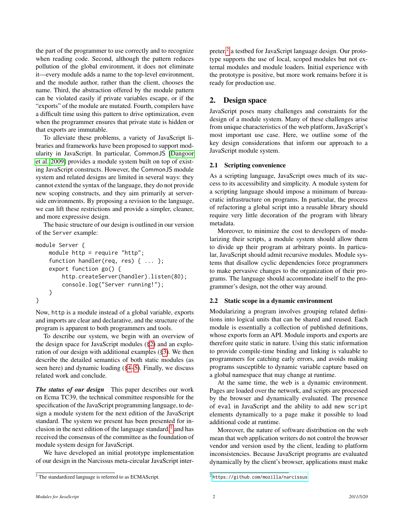the part of the programmer to use correctly and to recognize when reading code. Second, although the pattern reduces pollution of the global environment, it does not eliminate it—every module adds a name to the top-level environment, and the module author, rather than the client, chooses the name. Third, the abstraction offered by the module pattern can be violated easily if private variables escape, or if the "exports" of the module are mutated. Fourth, compilers have a difficult time using this pattern to drive optimization, even when the programmer ensures that private state is hidden or that exports are immutable.

To alleviate these problems, a variety of JavaScript libraries and frameworks have been proposed to support modularity in JavaScript. In particular, CommonJS [\[Dangoor](#page-9-1) [et al. 2009\]](#page-9-1) provides a module system built on top of existing JavaScript constructs. However, the CommonJS module system and related designs are limited in several ways: they cannot extend the syntax of the language, they do not provide new scoping constructs, and they aim primarily at serverside environments. By proposing a revision to the language, we can lift these restrictions and provide a simpler, cleaner, and more expressive design.

The basic structure of our design is outlined in our version of the Server example:

```
module Server {
    module http = require "http";
    function handler(req, res) { ... };
    export function go() {
        http.createServer(handler).listen(80);
        console.log("Server running!");
    }
}
```
Now, http is a module instead of a global variable, exports and imports are clear and declarative, and the structure of the program is apparent to both programmers and tools.

To describe our system, we begin with an overview of the design space for JavaScript modules ([§2\)](#page-1-0) and an exploration of our design with additional examples ([§3\)](#page-3-0). We then describe the detailed semantics of both static modules (as seen here) and dynamic loading ([§4](#page-5-0)[–5\)](#page-7-0). Finally, we discuss related work and conclude.

*The status of our design* This paper describes our work on Ecma TC39, the technical committee responsible for the specification of the JavaScript programming language, to design a module system for the next edition of the JavaScript standard. The system we present has been presented for inclusion in the next edition of the language standard, $<sup>1</sup>$  $<sup>1</sup>$  $<sup>1</sup>$  and has</sup> received the consensus of the committee as the foundation of module system design for JavaScript.

We have developed an initial prototype implementation of our design in the Narcissus meta-circular JavaScript inter-

preter,<sup>[2](#page-1-2)</sup> a testbed for JavaScript language design. Our prototype supports the use of local, scoped modules but not external modules and module loaders. Initial experience with the prototype is positive, but more work remains before it is ready for production use.

# <span id="page-1-0"></span>2. Design space

JavaScript poses many challenges and constraints for the design of a module system. Many of these challenges arise from unique characteristics of the web platform, JavaScript's most important use case. Here, we outline some of the key design considerations that inform our approach to a JavaScript module system.

# 2.1 Scripting convenience

As a scripting language, JavaScript owes much of its success to its accessibility and simplicity. A module system for a scripting language should impose a minimum of bureaucratic infrastructure on programs. In particular, the process of refactoring a global script into a reusable library should require very little decoration of the program with library metadata.

Moreover, to minimize the cost to developers of modularizing their scripts, a module system should allow them to divide up their program at arbitrary points. In particular, JavaScript should admit recursive modules. Module systems that disallow cyclic dependencies force programmers to make pervasive changes to the organization of their programs. The language should accommodate itself to the programmer's design, not the other way around.

# 2.2 Static scope in a dynamic environment

Modularizing a program involves grouping related definitions into logical units that can be shared and reused. Each module is essentially a collection of published definitions, whose exports form an API. Module imports and exports are therefore quite static in nature. Using this static information to provide compile-time binding and linking is valuable to programmers for catching early errors, and avoids making programs susceptible to dynamic variable capture based on a global namespace that may change at runtime.

At the same time, the web is a dynamic environment. Pages are loaded over the network, and scripts are processed by the browser and dynamically evaluated. The presence of eval in JavaScript and the ability to add new script elements dynamically to a page make it possible to load additional code at runtime.

Moreover, the nature of software distribution on the web mean that web application writers do not control the browser vendor and version used by the client, leading to platform inconsistencies. Because JavaScript programs are evaluated dynamically by the client's browser, applications must make

<span id="page-1-1"></span><sup>&</sup>lt;sup>1</sup> The standardized language is referred to as ECMAScript.

<span id="page-1-2"></span><sup>2</sup> <https://github.com/mozilla/narcissus>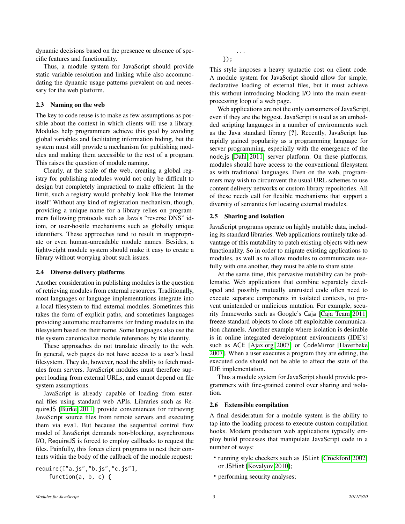dynamic decisions based on the presence or absence of specific features and functionality.

Thus, a module system for JavaScript should provide static variable resolution and linking while also accommodating the dynamic usage patterns prevalent on and necessary for the web platform.

### 2.3 Naming on the web

The key to code reuse is to make as few assumptions as possible about the context in which clients will use a library. Modules help programmers achieve this goal by avoiding global variables and facilitating information hiding, but the system must still provide a mechanism for publishing modules and making them accessible to the rest of a program. This raises the question of module naming.

Clearly, at the scale of the web, creating a global registry for publishing modules would not only be difficult to design but completely impractical to make efficient. In the limit, such a registry would probably look like the Internet itself! Without any kind of registration mechanism, though, providing a unique name for a library relies on programmers following protocols such as Java's "reverse DNS" idiom, or user-hostile mechanisms such as globally unique identifiers. These approaches tend to result in inappropriate or even human-unreadable module names. Besides, a lightweight module system should make it easy to create a library without worrying about such issues.

#### 2.4 Diverse delivery platforms

Another consideration in publishing modules is the question of retrieving modules from external resources. Traditionally, most languages or language implementations integrate into a local filesystem to find external modules. Sometimes this takes the form of explicit paths, and sometimes languages providing automatic mechanisms for finding modules in the filesystem based on their name. Some languages also use the file system canonicalize module references by file identity.

These approaches do not translate directly to the web. In general, web pages do not have access to a user's local filesystem. They do, however, need the ability to fetch modules from servers. JavaScript modules must therefore support loading from external URLs, and cannot depend on file system assumptions.

JavaScript is already capable of loading from external files using standard web APIs. Libraries such as RequireJS [\[Burke 2011\]](#page-9-2) provide conveniences for retrieving JavaScript source files from remote servers and executing them via eval. But because the sequential control flow model of JavaScript demands non-blocking, asynchronous I/O, RequireJS is forced to employ callbacks to request the files. Painfully, this forces client programs to nest their contents within the body of the callback of the module request:

require(["a.js","b.js","c.js"], function(a, b, c) {

... });

This style imposes a heavy syntactic cost on client code. A module system for JavaScript should allow for simple, declarative loading of external files, but it must achieve this without introducing blocking I/O into the main eventprocessing loop of a web page.

Web applications are not the only consumers of JavaScript, even if they are the biggest. JavaScript is used as an embedded scripting languages in a number of environments such as the Java standard library [?]. Recently, JavaScript has rapidly gained popularity as a programming language for server programming, especially with the emergence of the node.js [\[Dahl 2011\]](#page-9-0) server platform. On these platforms, modules should have access to the conventional filesystem as with traditional languages. Even on the web, programmers may wish to circumvent the usual URL schemes to use content delivery networks or custom library repositories. All of these needs call for flexible mechanisms that support a diversity of semantics for locating external modules.

#### 2.5 Sharing and isolation

JavaScript programs operate on highly mutable data, including its standard libraries. Web applications routinely take advantage of this mutability to patch existing objects with new functionality. So in order to migrate existing applications to modules, as well as to allow modules to communicate usefully with one another, they must be able to share state.

At the same time, this pervasive mutability can be problematic. Web applications that combine separately developed and possibly mutually untrusted code often need to execute separate components in isolated contexts, to prevent unintended or malicious mutation. For example, security frameworks such as Google's Caja [\[Caja Team 2011\]](#page-9-3) freeze standard objects to close off exploitable communication channels. Another example where isolation is desirable is in online integrated development environments (IDE's) such as ACE [\[Ajax.org 2007\]](#page-9-4) or CodeMirror [\[Haverbeke](#page-10-0) [2007\]](#page-10-0). When a user executes a program they are editing, the executed code should not be able to affect the state of the IDE implementation.

Thus a module system for JavaScript should provide programmers with fine-grained control over sharing and isolation.

#### 2.6 Extensible compilation

A final desideratum for a module system is the ability to tap into the loading process to execute custom compilation hooks. Modern production web applications typically employ build processes that manipulate JavaScript code in a number of ways:

- running style checkers such as JSLint [\[Crockford 2002\]](#page-9-5) or JSHint [\[Kovalyov 2010\]](#page-10-1);
- performing security analyses;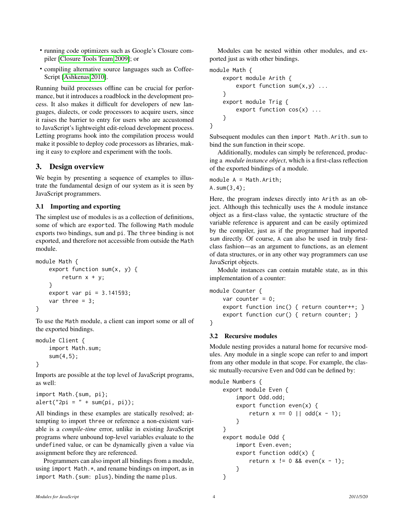- running code optimizers such as Google's Closure compiler [\[Closure Tools Team 2009\]](#page-9-6); or
- compiling alternative source languages such as Coffee-Script [\[Ashkenas 2010\]](#page-9-7).

Running build processes offline can be crucial for performance, but it introduces a roadblock in the development process. It also makes it difficult for developers of new languages, dialects, or code processors to acquire users, since it raises the barrier to entry for users who are accustomed to JavaScript's lightweight edit-reload development process. Letting programs hook into the compilation process would make it possible to deploy code processors as libraries, making it easy to explore and experiment with the tools.

# <span id="page-3-0"></span>3. Design overview

We begin by presenting a sequence of examples to illustrate the fundamental design of our system as it is seen by JavaScript programmers.

# 3.1 Importing and exporting

The simplest use of modules is as a collection of definitions, some of which are exported. The following Math module exports two bindings, sum and pi. The three binding is not exported, and therefore not accessible from outside the Math module.

```
module Math {
    export function sum(x, y) {
        return x + y;
    }
    export var pi = 3.141593;
    var three = 3;
}
```
To use the Math module, a client can import some or all of the exported bindings.

```
module Client {
    import Math.sum;
    sum(4,5);
}
```
Imports are possible at the top level of JavaScript programs, as well:

```
import Math.{sum, pi};
alert("2pi = " + sum(pi, pi));
```
All bindings in these examples are statically resolved; attempting to import three or reference a non-existent variable is a *compile-time* error, unlike in existing JavaScript programs where unbound top-level variables evaluate to the undefined value, or can be dynamically given a value via assignment before they are referenced.

Programmers can also import all bindings from a module, using import Math.\*, and rename bindings on import, as in import Math.{sum: plus}, binding the name plus.

Modules can be nested within other modules, and exported just as with other bindings.

```
module Math {
    export module Arith {
        export function sum(x,y) ...
    }
    export module Trig {
        export function cos(x) ...
    }
}
```
Subsequent modules can then import Math.Arith.sum to bind the sum function in their scope.

Additionally, modules can simply be referenced, producing a *module instance object*, which is a first-class reflection of the exported bindings of a module.

module A = Math.Arith; A.sum(3,4);

Here, the program indexes directly into Arith as an object. Although this technically uses the A module instance object as a first-class value, the syntactic structure of the variable reference is apparent and can be easily optimized by the compiler, just as if the programmer had imported sum directly. Of course, A can also be used in truly firstclass fashion—as an argument to functions, as an element of data structures, or in any other way programmers can use JavaScript objects.

Module instances can contain mutable state, as in this implementation of a counter:

```
module Counter {
    var counter = 0;
    export function inc() { return counter++; }
    export function cur() { return counter; }
}
```
# 3.2 Recursive modules

Module nesting provides a natural home for recursive modules. Any module in a single scope can refer to and import from any other module in that scope. For example, the classic mutually-recursive Even and Odd can be defined by:

```
module Numbers {
    export module Even {
        import Odd.odd;
        export function even(x) {
            return x == 0 || odd(x - 1);
        }
    }
    export module Odd {
        import Even.even;
        export function odd(x) {
            return x := 0 && even(x - 1);
        }
    }
```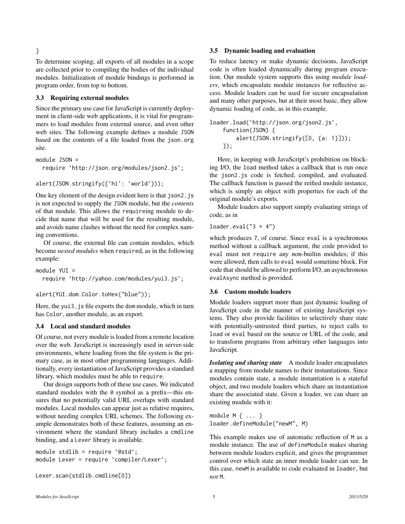To determine scoping, all exports of all modules in a scope are collected prior to compiling the bodies of the individual modules. Initialization of module bindings is performed in program order, from top to bottom.

#### 3.3 Requiring external modules

}

Since the primary use case for JavaScript is currently deployment in client-side web applications, it is vital for programmers to load modules from external source, and even other web sites. The following example defines a module JSON based on the contents of a file loaded from the json.org site.

module JSON = require 'http://json.org/modules/json2.js';

```
alert(JSON.stringify({'hi': 'world'}));
```
One key element of the design evident here is that json2.js is not expected to supply the JSON module, but the *contents* of that module. This allows the requireing module to decide that name that will be used for the resulting module, and avoids name clashes without the need for complex naming conventions.

Of course, the external file can contain modules, which become *nested modules* when required, as in the following example:

```
module YUI =
  require 'http://yahoo.com/modules/yui3.js';
```
alert(YUI.dom.Color.toHex("blue"));

Here, the yui3. js file exports the dom module, which in turn has Color, another module, as an export.

#### 3.4 Local and standard modules

Of course, not every module is loaded from a remote location over the web. JavaScript is increasingly used in server-side environments, where loading from the file system is the primary case, as in most other programming languages. Additionally, every instantiation of JavaScript provides a standard library, which modules must be able to require.

Our design supports both of these use cases. We indicated standard modules with the @ symbol as a prefix—this ensures that no potentially valid URL overlaps with standard modules. Local modules can appear just as relative requires, without needing complex URL schemes. The following example demonstrates both of these features, assuming an environment where the standard library includes a cmdline binding, and a Lexer library is available.

```
module stdlib = require '@std';
module Lexer = require 'compiler/Lexer';
```
Lexer.scan(stdlib.cmdline[0])

# 3.5 Dynamic loading and evaluation

To reduce latency or make dynamic decisions, JavaScript code is often loaded dynamically during program execution. Our module system supports this using *module loaders*, which encapsulate module instances for reflective access. Module loaders can be used for secure encapsulation and many other purposes, but at their most basic, they allow dynamic loading of code, as in this example.

loader.load('http://json.org/json2.js', function(JSON) { alert(JSON.stringify([0, {a: 1}])); });

Here, in keeping with JavaScript's prohibition on blocking I/O, the load method takes a callback that is run once the json2.js code is fetched, compiled, and evaluated. The callback function is passed the reified module instance, which is simply an object with properties for each of the original module's exports.

Module loaders also support simply evaluating strings of code, as in

 $loader.edu('3 + 4")$ 

which produces 7, of course. Since eval is a synchronous method without a callback argument, the code provided to eval must not require any non-builtin modules; if this were allowed, then calls to eval would sometime block. For code that should be allowed to perform I/O, an asynchronous evalAsync method is provided.

#### 3.6 Custom module loaders

Module loaders support more than just dynamic loading of JavaScript code in the manner of existing JavaScript systems. They also provide facilities to selectively share state with potentially-untrusted third parties, to reject calls to load or eval based on the source or URL of the code, and to transform programs from arbitrary other languages into JavaScript.

*Isolating and sharing state* A module loader encapsulates a mapping from module names to their instantiations. Since modules contain state, a module instantiation is a stateful object, and two module loaders which share an instantiation share the associated state. Given a loader, we can share an existing module with it:

module M { ... } loader.defineModule("newM", M)

This example makes use of automatic reflection of M as a module instance. The use of defineModule makes sharing between module loaders explicit, and gives the programmer control over which state an inner module loader can see. In this case, newM is available to code evaluated in loader, but *not* M.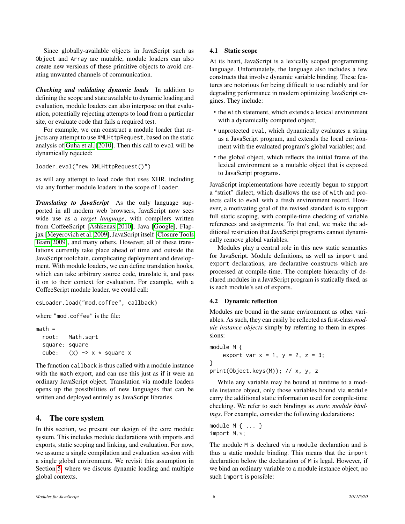Since globally-available objects in JavaScript such as Object and Array are mutable, module loaders can also create new versions of these primitive objects to avoid creating unwanted channels of communication.

*Checking and validating dynamic loads* In addition to defining the scope and state available to dynamic loading and evaluation, module loaders can also interpose on that evaluation, potentially rejecting attempts to load from a particular site, or evaluate code that fails a required test.

For example, we can construct a module loader that rejects any attempt to use XMLHttpRequest, based on the static analysis of [Guha et al.](#page-10-2) [\[2010\]](#page-10-2). Then this call to eval will be dynamically rejected:

loader.eval("new XMLHttpRequest()")

as will any attempt to load code that uses XHR, including via any further module loaders in the scope of loader.

*Translating to JavaScript* As the only language supported in all modern web browsers, JavaScript now sees wide use as a *target language*, with compilers written from CoffeeScript [\[Ashkenas 2010\]](#page-9-7), Java [\[Google\]](#page-10-3), Flapjax [\[Meyerovich et al. 2009\]](#page-10-4), JavaScript itself [\[Closure Tools](#page-9-6) [Team 2009\]](#page-9-6), and many others. However, all of these translations currently take place ahead of time and outside the JavaScript toolchain, complicating deployment and development. With module loaders, we can define translation hooks, which can take arbitrary source code, translate it, and pass it on to their context for evaluation. For example, with a CoffeeScript module loader, we could call:

```
csLoader.load("mod.coffee", callback)
```
where "mod.coffee" is the file:

```
math =root: Math.sqrt
  square: square
  cube: (x) \rightarrow x * square x
```
The function callback is thus called with a module instance with the math export, and can use this just as if it were an ordinary JavaScript object. Translation via module loaders opens up the possibilities of new languages that can be written and deployed entirely as JavaScript libraries.

# <span id="page-5-0"></span>4. The core system

In this section, we present our design of the core module system. This includes module declarations with imports and exports, static scoping and linking, and evaluation. For now, we assume a single compilation and evaluation session with a single global environment. We revisit this assumption in Section [5,](#page-7-0) where we discuss dynamic loading and multiple global contexts.

# 4.1 Static scope

At its heart, JavaScript is a lexically scoped programming language. Unfortunately, the language also includes a few constructs that involve dynamic variable binding. These features are notorious for being difficult to use reliably and for degrading performance in modern optimizing JavaScript engines. They include:

- the with statement, which extends a lexical environment with a dynamically computed object;
- unprotected eval, which dynamically evaluates a string as a JavaScript program, and extends the local environment with the evaluated program's global variables; and
- the global object, which reflects the initial frame of the lexical environment as a mutable object that is exposed to JavaScript programs.

JavaScript implementations have recently begun to support a "strict" dialect, which disallows the use of with and protects calls to eval with a fresh environment record. However, a motivating goal of the revised standard is to support full static scoping, with compile-time checking of variable references and assignments. To that end, we make the additional restriction that JavaScript programs cannot dynamically remove global variables.

Modules play a central role in this new static semantics for JavaScript. Module definitions, as well as import and export declarations, are declarative constructs which are processed at compile-time. The complete hierarchy of declared modules in a JavaScript program is statically fixed, as is each module's set of exports.

#### 4.2 Dynamic reflection

Modules are bound in the same environment as other variables. As such, they can easily be reflected as first-class *module instance objects* simply by referring to them in expressions:

```
module M {
    export var x = 1, y = 2, z = 3;
}
print(Object.keys(M)); // x, y, z
```
While any variable may be bound at runtime to a module instance object, only those variables bound via module carry the additional static information used for compile-time checking. We refer to such bindings as *static module bindings*. For example, consider the following declarations:

```
module M { ... }
import M.*;
```
The module M is declared via a module declaration and is thus a static module binding. This means that the import declaration below the declaration of M is legal. However, if we bind an ordinary variable to a module instance object, no such import is possible: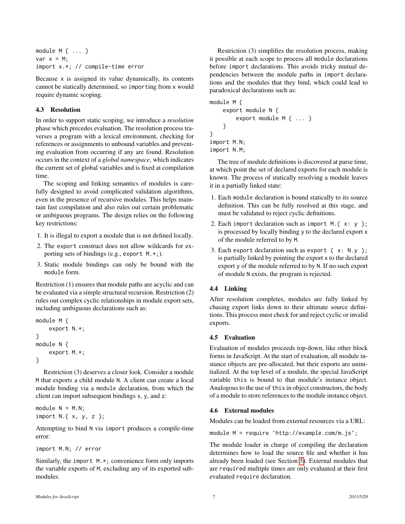```
module M { ... }
var x = M;
import x.*; // compile-time error
```
Because x is assigned its value dynamically, its contents cannot be statically determined, so importing from x would require dynamic scoping.

# 4.3 Resolution

In order to support static scoping, we introduce a *resolution* phase which precedes evaluation. The resolution process traverses a program with a lexical environment, checking for references or assignments to unbound variables and preventing evaluation from occurring if any are found. Resolution occurs in the context of a *global namespace*, which indicates the current set of global variables and is fixed at compilation time.

The scoping and linking semantics of modules is carefully designed to avoid complicated validation algorithms, even in the presence of recursive modules. This helps maintain fast compilation and also rules out certain problematic or ambiguous programs. The design relies on the following key restrictions:

- 1. It is illegal to export a module that is not defined locally.
- 2. The export construct does not allow wildcards for exporting sets of bindings (e.g., export M.\*;).
- 3. Static module bindings can only be bound with the module form.

Restriction (1) ensures that module paths are acyclic and can be evaluated via a simple structural recursion. Restriction (2) rules out complex cyclic relationships in module export sets, including ambiguous declarations such as:

```
module M {
    export N.*;
}
module N {
    export M.*;
}
```
Restriction (3) deserves a closer look. Consider a module M that exports a child module N. A client can create a local module binding via a module declaration, from which the client can import subsequent bindings x, y, and z:

module  $N = M.N;$ import N.{ x, y, z };

Attempting to bind N via import produces a compile-time error:

import M.N; // error

Similarly, the import M.\*; convenience form only imports the variable exports of M, excluding any of its exported submodules.

Restriction (3) simplifies the resolution process, making it possible at each scope to process all module declarations before import declarations. This avoids tricky mutual dependencies between the module paths in import declarations and the modules that they bind, which could lead to paradoxical declarations such as:

```
module M {
    export module N {
        export module M { ... }
    }
}
import M.N;
import N.M;
```
The tree of module definitions is discovered at parse time, at which point the set of declared exports for each module is known. The process of statically resolving a module leaves it in a partially linked state:

- 1. Each module declaration is bound statically to its source definition. This can be fully resolved at this stage, and must be validated to reject cyclic definitions.
- 2. Each import declaration such as import M.  $\{x: y\}$ ; is processed by locally binding y to the declared export x of the module referred to by M.
- 3. Each export declaration such as export { x: N.y }; is partially linked by pointing the export x to the declared export y of the module referred to by N. If no such export of module N exists, the program is rejected.

# 4.4 Linking

After resolution completes, modules are fully linked by chasing export links down to their ultimate source definitions. This process must check for and reject cyclic or invalid exports.

# 4.5 Evaluation

Evaluation of modules proceeds top-down, like other block forms in JavaScript. At the start of evaluation, all module instance objects are pre-allocated, but their exports are uninitialized. At the top level of a module, the special JavaScript variable this is bound to that module's instance object. Analogous to the use of this in object constructors, the body of a module to store references to the module instance object.

# 4.6 External modules

Modules can be loaded from external resources via a URL:

module M = require 'http://example.com/m.js';

The module loader in charge of compiling the declaration determines how to load the source file and whether it has already been loaded (see Section [5\)](#page-7-0). External modules that are required multiple times are only evaluated at their first evaluated require declaration.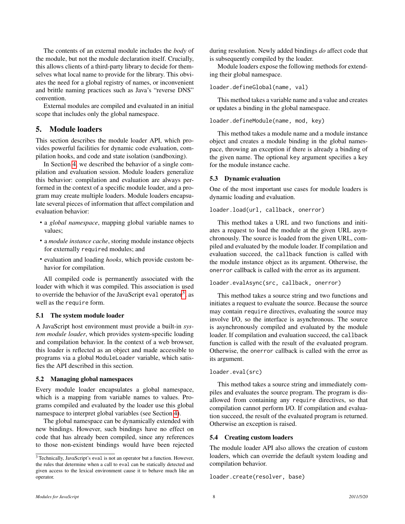The contents of an external module includes the *body* of the module, but not the module declaration itself. Crucially, this allows clients of a third-party library to decide for themselves what local name to provide for the library. This obviates the need for a global registry of names, or inconvenient and brittle naming practices such as Java's "reverse DNS" convention.

External modules are compiled and evaluated in an initial scope that includes only the global namespace.

# <span id="page-7-0"></span>5. Module loaders

This section describes the module loader API, which provides powerful facilities for dynamic code evaluation, compilation hooks, and code and state isolation (sandboxing).

In Section [4,](#page-5-0) we described the behavior of a single compilation and evaluation session. Module loaders generalize this behavior: compilation and evaluation are always performed in the context of a specific module loader, and a program may create multiple loaders. Module loaders encapsulate several pieces of information that affect compilation and evaluation behavior:

- a *global namespace*, mapping global variable names to values;
- a *module instance cache*, storing module instance objects for externally required modules; and
- evaluation and loading *hooks*, which provide custom behavior for compilation.

All compiled code is permanently associated with the loader with which it was compiled. This association is used to override the behavior of the JavaScript eval operator<sup>[3](#page-7-1)</sup>, as well as the require form.

#### 5.1 The system module loader

A JavaScript host environment must provide a built-in *system module loader*, which provides system-specific loading and compilation behavior. In the context of a web browser, this loader is reflected as an object and made accessible to programs via a global ModuleLoader variable, which satisfies the API described in this section.

#### 5.2 Managing global namespaces

Every module loader encapsulates a global namespace, which is a mapping from variable names to values. Programs compiled and evaluated by the loader use this global namespace to interpret global variables (see Section [4\)](#page-5-0).

The global namespace can be dynamically extended with new bindings. However, such bindings have no effect on code that has already been compiled, since any references to those non-existent bindings would have been rejected during resolution. Newly added bindings *do* affect code that is subsequently compiled by the loader.

Module loaders expose the following methods for extending their global namespace.

```
loader.defineGlobal(name, val)
```
This method takes a variable name and a value and creates or updates a binding in the global namespace.

loader.defineModule(name, mod, key)

This method takes a module name and a module instance object and creates a module binding in the global namespace, throwing an exception if there is already a binding of the given name. The optional key argument specifies a key for the module instance cache.

### 5.3 Dynamic evaluation

One of the most important use cases for module loaders is dynamic loading and evaluation.

#### loader.load(url, callback, onerror)

This method takes a URL and two functions and initiates a request to load the module at the given URL asynchronously. The source is loaded from the given URL, compiled and evaluated by the module loader. If compilation and evaluation succeed, the callback function is called with the module instance object as its argument. Otherwise, the onerror callback is called with the error as its argument.

# loader.evalAsync(src, callback, onerror)

This method takes a source string and two functions and initiates a request to evaluate the source. Because the source may contain require directives, evaluating the source may involve I/O, so the interface is asynchronous. The source is asynchronously compiled and evaluated by the module loader. If compilation and evaluation succeed, the callback function is called with the result of the evaluated program. Otherwise, the onerror callback is called with the error as its argument.

#### loader.eval(src)

This method takes a source string and immediately compiles and evaluates the source program. The program is disallowed from containing any require directives, so that compilation cannot perform I/O. If compilation and evaluation succeed, the result of the evaluated program is returned. Otherwise an exception is raised.

#### 5.4 Creating custom loaders

The module loader API also allows the creation of custom loaders, which can override the default system loading and compilation behavior.

```
loader.create(resolver, base)
```
<span id="page-7-1"></span><sup>3</sup> Technically, JavaScript's eval is not an operator but a function. However, the rules that determine when a call to eval can be statically detected and given access to the lexical environment cause it to behave much like an operator.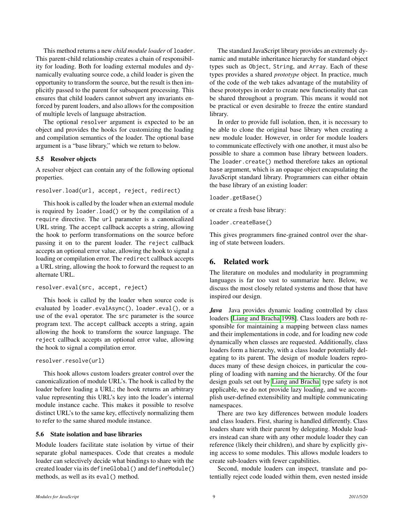This method returns a new *child module loader* of loader. This parent-child relationship creates a chain of responsibility for loading. Both for loading external modules and dynamically evaluating source code, a child loader is given the opportunity to transform the source, but the result is then implicitly passed to the parent for subsequent processing. This ensures that child loaders cannot subvert any invariants enforced by parent loaders, and also allows for the composition of multiple levels of language abstraction.

The optional resolver argument is expected to be an object and provides the hooks for customizing the loading and compilation semantics of the loader. The optional base argument is a "base library," which we return to below.

### 5.5 Resolver objects

A resolver object can contain any of the following optional properties.

resolver.load(url, accept, reject, redirect)

This hook is called by the loader when an external module is required by loader.load() or by the compilation of a require directive. The url parameter is a canonicalized URL string. The accept callback accepts a string, allowing the hook to perform transformations on the source before passing it on to the parent loader. The reject callback accepts an optional error value, allowing the hook to signal a loading or compilation error. The redirect callback accepts a URL string, allowing the hook to forward the request to an alternate URL.

```
resolver.eval(src, accept, reject)
```
This hook is called by the loader when source code is evaluated by loader.evalAsync(), loader.eval(), or a use of the eval operator. The src parameter is the source program text. The accept callback accepts a string, again allowing the hook to transform the source language. The reject callback accepts an optional error value, allowing the hook to signal a compilation error.

```
resolver.resolve(url)
```
This hook allows custom loaders greater control over the canonicalization of module URL's. The hook is called by the loader before loading a URL; the hook returns an arbitrary value representing this URL's key into the loader's internal module instance cache. This makes it possible to resolve distinct URL's to the same key, effectively normalizing them to refer to the same shared module instance.

# 5.6 State isolation and base libraries

Module loaders facilitate state isolation by virtue of their separate global namespaces. Code that creates a module loader can selectively decide what bindings to share with the created loader via its defineGlobal() and defineModule() methods, as well as its eval() method.

The standard JavaScript library provides an extremely dynamic and mutable inheritance hierarchy for standard object types such as Object, String, and Array. Each of these types provides a shared *prototype* object. In practice, much of the code of the web takes advantage of the mutability of these prototypes in order to create new functionality that can be shared throughout a program. This means it would not be practical or even desirable to freeze the entire standard library.

In order to provide full isolation, then, it is necessary to be able to clone the original base library when creating a new module loader. However, in order for module loaders to communicate effectively with one another, it must also be possible to share a common base library between loaders. The loader.create() method therefore takes an optional base argument, which is an opaque object encapsulating the JavaScript standard library. Programmers can either obtain the base library of an existing loader:

loader.getBase()

or create a fresh base library:

loader.createBase()

This gives programmers fine-grained control over the sharing of state between loaders.

# 6. Related work

The literature on modules and modularity in programming languages is far too vast to summarize here. Below, we discuss the most closely related systems and those that have inspired our design.

*Java* Java provides dynamic loading controlled by class loaders [\[Liang and Bracha 1998\]](#page-10-5). Class loaders are both responsible for maintaining a mapping between class names and their implementations in code, and for loading new code dynamically when classes are requested. Additionally, class loaders form a hierarchy, with a class loader potentially delegating to its parent. The design of module loaders reproduces many of these design choices, in particular the coupling of loading with naming and the hierarchy. Of the four design goals set out by [Liang and Bracha,](#page-10-5) type safety is not applicable, we do not provide lazy loading, and we accomplish user-defined extensibility and multiple communicating namespaces.

There are two key differences between module loaders and class loaders. First, sharing is handled differently. Class loaders share with their parent by delegating. Module loaders instead can share with any other module loader they can reference (likely their children), and share by explicitly giving access to some modules. This allows module loaders to create sub-loaders with fewer capabilities.

Second, module loaders can inspect, translate and potentially reject code loaded within them, even nested inside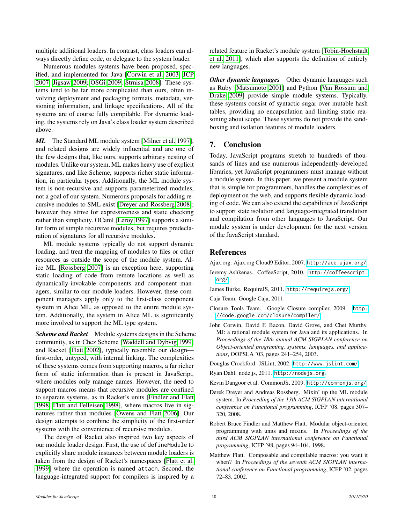multiple additional loaders. In contrast, class loaders can always directly define code, or delegate to the system loader.

Numerous modules systems have been proposed, specified, and implemented for Java [\[Corwin et al. 2003;](#page-9-8) [JCP](#page-10-6) [2007;](#page-10-6) [Jigsaw 2009;](#page-10-7) [OSGi 2009;](#page-10-8) [Strnisa 2008\]](#page-10-9). These systems tend to be far more complicated than ours, often involving deployment and packaging formats, metadata, versioning information, and linkage specifications. All of the systems are of course fully compilable. For dynamic loading, the systems rely on Java's class loader system described above.

*ML* The Standard ML module system [\[Milner et al. 1997\]](#page-10-10), and related designs are widely influential and are one of the few designs that, like ours, supports arbitrary nesting of modules. Unlike our system, ML makes heavy use of explicit signatures, and like Scheme, supports richer static information, in particular types. Additionally, the ML module system is non-recursive and supports parameterized modules, not a goal of our system. Numerous proposals for adding recursive modules to SML exist [\[Dreyer and Rossberg 2008\]](#page-9-9); however they strive for expressiveness and static checking rather than simplicity. OCaml [\[Leroy 1997\]](#page-10-11) supports a similar form of simple recursive modules, but requires predeclaration of signatures for all recursive modules.

ML module systems typically do not support dynamic loading, and treat the mapping of modules to files or other resources as outside the scope of the module system. Alice ML [\[Rossberg 2007\]](#page-10-12) is an exception here, supporting static loading of code from remote locations as well as dynamically-invokable components and component managers, similar to our module loaders. However, these component managers apply only to the first-class component system in Alice ML, as opposed to the entire module system. Additionally, the system in Alice ML is significantly more involved to support the ML type system.

*Scheme and Racket* Module systems designs in the Scheme community, as in Chez Scheme [\[Waddell and Dybvig 1999\]](#page-10-13) and Racket [\[Flatt 2002\]](#page-9-10), typically resemble our design first-order, untyped, with internal linking. The complexities of these systems comes from supporting macros, a far richer form of static information than is present in JavaScript, where modules only manage names. However, the need to support macros means that recursive modules are confined to separate systems, as in Racket's units [\[Findler and Flatt](#page-9-11) [1998;](#page-9-11) [Flatt and Felleisen 1998\]](#page-10-14), where macros live in signatures rather than modules [\[Owens and Flatt 2006\]](#page-10-15). Our design attempts to combine the simplicity of the first-order systems with the convenience of recursive modules.

The design of Racket also inspired two key aspects of our module loader design. First, the use of defineModule to explicitly share module instances between module loaders is taken from the design of Racket's namespaces [\[Flatt et al.](#page-10-16) [1999\]](#page-10-16) where the operation is named attach. Second, the language-integrated support for compilers is inspired by a related feature in Racket's module system [\[Tobin-Hochstadt](#page-10-17) [et al. 2011\]](#page-10-17), which also supports the definition of entirely new languages.

*Other dynamic languages* Other dynamic languages such as Ruby [\[Matsumoto 2001\]](#page-10-18) and Python [\[Van Rossum and](#page-10-19) [Drake 2009\]](#page-10-19) provide simple module systems. Typically, these systems consist of syntactic sugar over mutable hash tables, providing no encapsulation and limiting static reasoning about scope. These systems do not provide the sandboxing and isolation features of module loaders.

# 7. Conclusion

Today, JavaScript programs stretch to hundreds of thousands of lines and use numerous independently-developed libraries, yet JavaScript programmers must manage without a module system. In this paper, we present a module system that is simple for programmers, handles the complexities of deployment on the web, and supports flexible dynamic loading of code. We can also extend the capabilities of JavaScript to support state isolation and language-integrated translation and compilation from other languages to JavaScript. Our module system is under development for the next version of the JavaScript standard.

# **References**

<span id="page-9-4"></span>Ajax.org. Ajax.org Cloud9 Editor, 2007. <http://ace.ajax.org/>.

- <span id="page-9-7"></span>Jeremy Ashkenas. CoffeeScript, 2010. [http://coffeescript.](http://coffeescript.org/) [org/](http://coffeescript.org/).
- <span id="page-9-2"></span>James Burke. RequireJS, 2011. <http://requirejs.org/>.

<span id="page-9-3"></span>Caja Team. Google Caja, 2011.

- <span id="page-9-6"></span>Closure Tools Team. Google Closure compiler, 2009. [http:](http://code.google.com/closure/compiler/) [//code.google.com/closure/compiler/](http://code.google.com/closure/compiler/).
- <span id="page-9-8"></span>John Corwin, David F. Bacon, David Grove, and Chet Murthy. MJ: a rational module system for Java and its applications. In *Proceedings of the 18th annual ACM SIGPLAN conference on Object-oriented programing, systems, languages, and applications*, OOPSLA '03, pages 241–254, 2003.

<span id="page-9-5"></span>Douglas Crockford. JSLint, 2002. <http://www.jslint.com/>.

- <span id="page-9-0"></span>Ryan Dahl. node.js, 2011. <http://nodejs.org>.
- <span id="page-9-1"></span>Kevin Dangoor et al. CommonJS, 2009. <http://commonjs.org/>.
- <span id="page-9-9"></span>Derek Dreyer and Andreas Rossberg. Mixin' up the ML module system. In *Proceeding of the 13th ACM SIGPLAN international conference on Functional programming*, ICFP '08, pages 307– 320, 2008.
- <span id="page-9-11"></span>Robert Bruce Findler and Matthew Flatt. Modular object-oriented programming with units and mixins. In *Proceedings of the third ACM SIGPLAN international conference on Functional programming*, ICFP '98, pages 94–104, 1998.
- <span id="page-9-10"></span>Matthew Flatt. Composable and compilable macros: you want it when? In *Proceedings of the seventh ACM SIGPLAN international conference on Functional programming*, ICFP '02, pages 72–83, 2002.